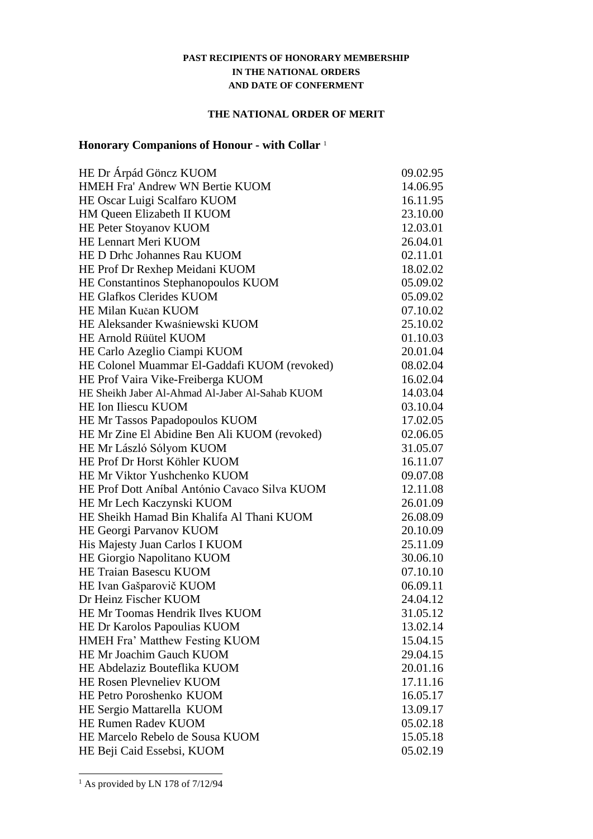### **PAST RECIPIENTS OF HONORARY MEMBERSHIP IN THE NATIONAL ORDERS AND DATE OF CONFERMENT**

#### **THE NATIONAL ORDER OF MERIT**

## **Honorary Companions of Honour - with Collar** <sup>1</sup>

| HE Dr Árpád Göncz KUOM                          | 09.02.95 |
|-------------------------------------------------|----------|
| HMEH Fra' Andrew WN Bertie KUOM                 | 14.06.95 |
| HE Oscar Luigi Scalfaro KUOM                    | 16.11.95 |
| HM Queen Elizabeth II KUOM                      | 23.10.00 |
| HE Peter Stoyanov KUOM                          | 12.03.01 |
| HE Lennart Meri KUOM                            | 26.04.01 |
| HE D Drhc Johannes Rau KUOM                     | 02.11.01 |
| HE Prof Dr Rexhep Meidani KUOM                  | 18.02.02 |
| HE Constantinos Stephanopoulos KUOM             | 05.09.02 |
| <b>HE Glafkos Clerides KUOM</b>                 | 05.09.02 |
| HE Milan Kučan KUOM                             | 07.10.02 |
| HE Aleksander Kwaśniewski KUOM                  | 25.10.02 |
| <b>HE Arnold Rüütel KUOM</b>                    | 01.10.03 |
| HE Carlo Azeglio Ciampi KUOM                    | 20.01.04 |
| HE Colonel Muammar El-Gaddafi KUOM (revoked)    | 08.02.04 |
| HE Prof Vaira Vike-Freiberga KUOM               | 16.02.04 |
| HE Sheikh Jaber Al-Ahmad Al-Jaber Al-Sahab KUOM | 14.03.04 |
| HE Ion Iliescu KUOM                             | 03.10.04 |
| HE Mr Tassos Papadopoulos KUOM                  | 17.02.05 |
| HE Mr Zine El Abidine Ben Ali KUOM (revoked)    | 02.06.05 |
| HE Mr László Sólyom KUOM                        | 31.05.07 |
| HE Prof Dr Horst Köhler KUOM                    | 16.11.07 |
| HE Mr Viktor Yushchenko KUOM                    | 09.07.08 |
| HE Prof Dott Aníbal António Cavaco Silva KUOM   | 12.11.08 |
| HE Mr Lech Kaczynski KUOM                       | 26.01.09 |
| HE Sheikh Hamad Bin Khalifa Al Thani KUOM       | 26.08.09 |
| HE Georgi Parvanov KUOM                         | 20.10.09 |
| His Majesty Juan Carlos I KUOM                  | 25.11.09 |
| HE Giorgio Napolitano KUOM                      | 30.06.10 |
| HE Traian Basescu KUOM                          | 07.10.10 |
| HE Ivan Gašparovič KUOM                         | 06.09.11 |
| Dr Heinz Fischer KUOM                           | 24.04.12 |
| HE Mr Toomas Hendrik Ilves KUOM                 | 31.05.12 |
| HE Dr Karolos Papoulias KUOM                    | 13.02.14 |
| HMEH Fra' Matthew Festing KUOM                  | 15.04.15 |
| HE Mr Joachim Gauch KUOM                        | 29.04.15 |
| HE Abdelaziz Bouteflika KUOM                    | 20.01.16 |
| <b>HE Rosen Plevneliev KUOM</b>                 | 17.11.16 |
| HE Petro Poroshenko KUOM                        | 16.05.17 |
| HE Sergio Mattarella KUOM                       | 13.09.17 |
| <b>HE Rumen Radev KUOM</b>                      | 05.02.18 |
| HE Marcelo Rebelo de Sousa KUOM                 | 15.05.18 |
| HE Beji Caid Essebsi, KUOM                      | 05.02.19 |

 $1$  As provided by LN 178 of 7/12/94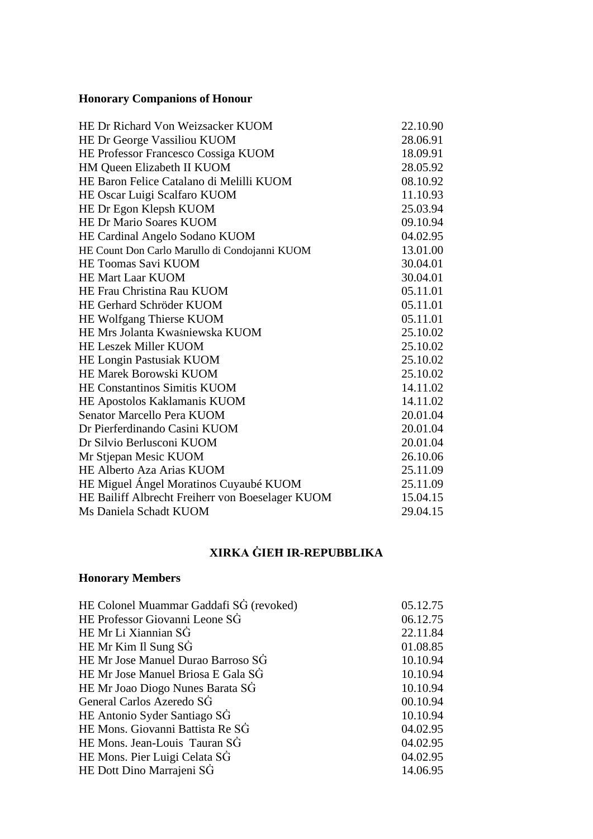# **Honorary Companions of Honour**

| HE Dr Richard Von Weizsacker KUOM                | 22.10.90 |
|--------------------------------------------------|----------|
| HE Dr George Vassiliou KUOM                      | 28.06.91 |
| HE Professor Francesco Cossiga KUOM              | 18.09.91 |
| HM Queen Elizabeth II KUOM                       | 28.05.92 |
| HE Baron Felice Catalano di Melilli KUOM         | 08.10.92 |
| HE Oscar Luigi Scalfaro KUOM                     | 11.10.93 |
| HE Dr Egon Klepsh KUOM                           | 25.03.94 |
| HE Dr Mario Soares KUOM                          | 09.10.94 |
| HE Cardinal Angelo Sodano KUOM                   | 04.02.95 |
| HE Count Don Carlo Marullo di Condojanni KUOM    | 13.01.00 |
| <b>HE Toomas Savi KUOM</b>                       | 30.04.01 |
| <b>HE Mart Laar KUOM</b>                         | 30.04.01 |
| HE Frau Christina Rau KUOM                       | 05.11.01 |
| HE Gerhard Schröder KUOM                         | 05.11.01 |
| HE Wolfgang Thierse KUOM                         | 05.11.01 |
| HE Mrs Jolanta Kwaśniewska KUOM                  | 25.10.02 |
| <b>HE Leszek Miller KUOM</b>                     | 25.10.02 |
| HE Longin Pastusiak KUOM                         | 25.10.02 |
| HE Marek Borowski KUOM                           | 25.10.02 |
| HE Constantinos Simitis KUOM                     | 14.11.02 |
| HE Apostolos Kaklamanis KUOM                     | 14.11.02 |
| Senator Marcello Pera KUOM                       | 20.01.04 |
| Dr Pierferdinando Casini KUOM                    | 20.01.04 |
| Dr Silvio Berlusconi KUOM                        | 20.01.04 |
| Mr Stjepan Mesic KUOM                            | 26.10.06 |
| HE Alberto Aza Arias KUOM                        | 25.11.09 |
| HE Miguel Ángel Moratinos Cuyaubé KUOM           | 25.11.09 |
| HE Bailiff Albrecht Freiherr von Boeselager KUOM | 15.04.15 |
| Ms Daniela Schadt KUOM                           | 29.04.15 |

## **XIRKA ĠIEĦ IR-REPUBBLIKA**

# **Honorary Members**

| HE Colonel Muammar Gaddafi SG (revoked) | 05.12.75 |
|-----------------------------------------|----------|
| HE Professor Giovanni Leone SG          | 06.12.75 |
| HE Mr Li Xiannian SG                    | 22.11.84 |
| HE Mr Kim Il Sung SG                    | 01.08.85 |
| HE Mr Jose Manuel Durao Barroso SG      | 10.10.94 |
| HE Mr Jose Manuel Briosa E Gala SG      | 10.10.94 |
| HE Mr Joao Diogo Nunes Barata SG        | 10.10.94 |
| General Carlos Azeredo SG               | 00.10.94 |
| HE Antonio Syder Santiago SG            | 10.10.94 |
| HE Mons. Giovanni Battista Re SG        | 04.02.95 |
| HE Mons. Jean-Louis Tauran SG           | 04.02.95 |
| HE Mons. Pier Luigi Celata SG           | 04.02.95 |
| HE Dott Dino Marrajeni SG               | 14.06.95 |
|                                         |          |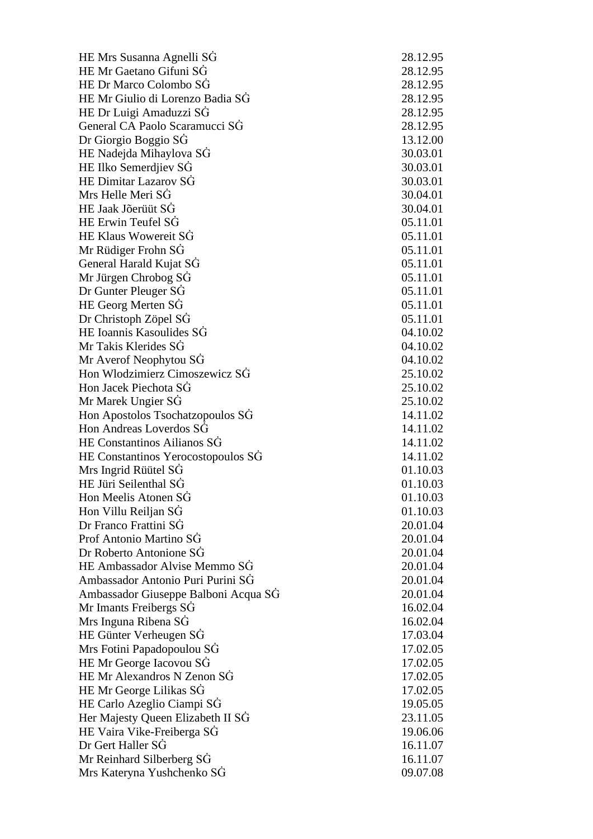HE Mrs Susanna Agnelli SĠ 28.12.95 HE Mr Gaetano Gifuni SĠ 28.12.95 HE Dr Marco Colombo SĠ 28.12.95 HE Mr Giulio di Lorenzo Badia SĠ 28.12.95 HE Dr Luigi Amaduzzi SĠ 28.12.95 General CA Paolo Scaramucci SĠ 28.12.95 Dr Giorgio Boggio SĠ 13.12.00 HE Nadejda Mihaylova SG 30.03.01 HE Ilko Semerdiiev SG 30.03.01 HE Dimitar Lazarov SĠ 30.03.01  $Mrs$  Helle Meri S $\dot{G}$  30.04.01 HE Jaak Jõerüüt SĠ 30.04.01 HE Erwin Teufel SG 05.11.01 HE Klaus Wowereit SG 05.11.01 Mr Rüdiger Frohn SG 05.11.01 General Harald Kujat SG 05.11.01 Mr Jürgen Chrobog SG 05.11.01 Dr Gunter Pleuger SG 05.11.01 HE Georg Merten SG 05.11.01 Dr Christoph Zöpel SĠ 05.11.01 HE Ioannis Kasoulides SĠ 04.10.02 Mr Takis Klerides SĠ 04.10.02 Mr Averof Neophytou SG 04.10.02 Hon Wlodzimierz Cimoszewicz SĠ 25.10.02 Hon Jacek Piechota SĠ 25.10.02 Mr Marek Ungier SĠ 25.10.02 Hon Apostolos Tsochatzopoulos SĠ 14.11.02 Hon Andreas Loverdos SĠ 14.11.02 HE Constantinos Ailianos SĠ 14.11.02 HE Constantinos Yerocostopoulos SĠ 14.11.02 Mrs Ingrid Rüütel SG 01.10.03 HE Jüri Seilenthal SĠ 01.10.03 Hon Meelis Atonen SĠ 01.10.03 Hon Villu Reiljan SĠ 01.10.03 Dr Franco Frattini SĠ 20.01.04 Prof Antonio Martino SĠ 20.01.04 Dr Roberto Antonione SĠ 20.01.04 HE Ambassador Alvise Memmo SĠ 20.01.04 Ambassador Antonio Puri Purini SĠ 20.01.04 Ambassador Giuseppe Balboni Acqua SĠ 20.01.04 Mr Imants Freibergs SG 16.02.04 Mrs Inguna Ribena SG 16.02.04 HE Günter Verheugen SĠ 17.03.04 Mrs Fotini Pap adopoulou SĠ 17.02.05 HE Mr G e orge Iacovou SĠ 17.02.05 HE Mr Alexandros N Zenon SĠ 17.02.05 HE Mr George Lilikas SĠ 17.02.05 HE Carlo Azeglio Ciampi SĠ 19.05.05 Her Majesty Queen Elizabeth II SĠ 23.11.05 HE Vaira Vike -Freiberga SĠ 19.06.06 Dr Gert Haller SĠ 16.11.07 Mr Reinhard Silberberg SG 16.11.07 Mrs Kateryna Yushchenko SĠ 09.07.08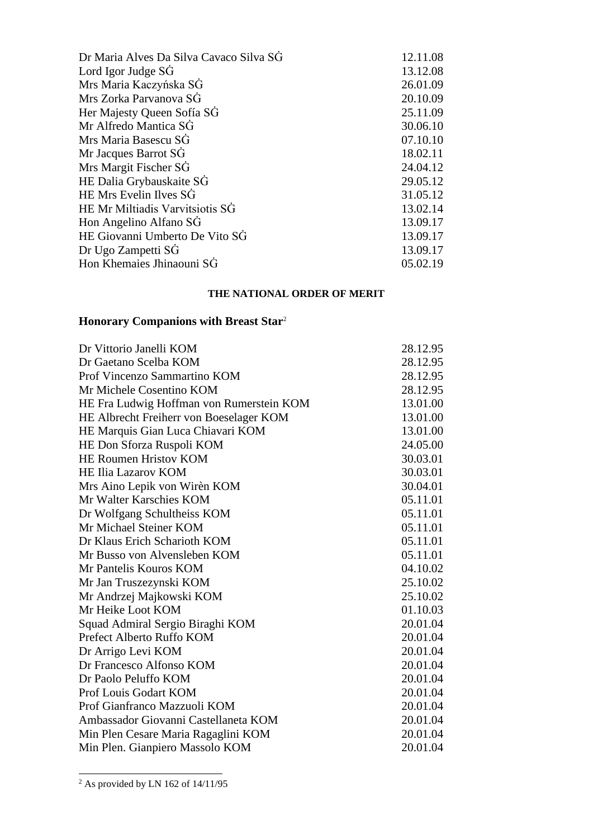| Dr Maria Alves Da Silva Cavaco Silva SG | 12.11.08 |
|-----------------------------------------|----------|
| Lord Igor Judge SG                      | 13.12.08 |
| Mrs Maria Kaczyńska SG                  | 26.01.09 |
| Mrs Zorka Parvanova SG                  | 20.10.09 |
| Her Majesty Queen Sofía SG              | 25.11.09 |
| Mr Alfredo Mantica SG                   | 30.06.10 |
| Mrs Maria Basescu SG                    | 07.10.10 |
| Mr Jacques Barrot SG                    | 18.02.11 |
| Mrs Margit Fischer SG                   | 24.04.12 |
| HE Dalia Grybauskaite SG                | 29.05.12 |
| HE Mrs Evelin Ilves SG                  | 31.05.12 |
| HE Mr Miltiadis Varvitsiotis SG         | 13.02.14 |
| Hon Angelino Alfano SG                  | 13.09.17 |
| HE Giovanni Umberto De Vito SG          | 13.09.17 |
| Dr Ugo Zampetti SG                      | 13.09.17 |
| Hon Khemaies Jhinaouni SG               | 05.02.19 |

### **THE NATIONAL ORDER OF MERIT**

# **Honorary Companions with Breast Star**<sup>2</sup>

| Dr Gaetano Scelba KOM                    | 28.12.95 |
|------------------------------------------|----------|
|                                          |          |
| Prof Vincenzo Sammartino KOM             | 28.12.95 |
| Mr Michele Cosentino KOM                 | 28.12.95 |
| HE Fra Ludwig Hoffman von Rumerstein KOM | 13.01.00 |
| HE Albrecht Freiherr von Boeselager KOM  | 13.01.00 |
| HE Marquis Gian Luca Chiavari KOM        | 13.01.00 |
| HE Don Sforza Ruspoli KOM                | 24.05.00 |
| HE Roumen Hristov KOM                    | 30.03.01 |
| <b>HE Ilia Lazarov KOM</b>               | 30.03.01 |
| Mrs Aino Lepik von Wirèn KOM             | 30.04.01 |
| Mr Walter Karschies KOM                  | 05.11.01 |
| Dr Wolfgang Schultheiss KOM              | 05.11.01 |
| Mr Michael Steiner KOM                   | 05.11.01 |
| Dr Klaus Erich Scharioth KOM             | 05.11.01 |
| Mr Busso von Alvensleben KOM             | 05.11.01 |
| Mr Pantelis Kouros KOM                   | 04.10.02 |
| Mr Jan Truszezynski KOM                  | 25.10.02 |
| Mr Andrzej Majkowski KOM                 | 25.10.02 |
| Mr Heike Loot KOM                        | 01.10.03 |
| Squad Admiral Sergio Biraghi KOM         | 20.01.04 |
| Prefect Alberto Ruffo KOM                | 20.01.04 |
| Dr Arrigo Levi KOM                       | 20.01.04 |
| Dr Francesco Alfonso KOM                 | 20.01.04 |
| Dr Paolo Peluffo KOM                     | 20.01.04 |
| Prof Louis Godart KOM                    | 20.01.04 |
| Prof Gianfranco Mazzuoli KOM             | 20.01.04 |
| Ambassador Giovanni Castellaneta KOM     | 20.01.04 |
| Min Plen Cesare Maria Ragaglini KOM      | 20.01.04 |
| Min Plen. Gianpiero Massolo KOM          | 20.01.04 |

 $\frac{1}{2}$  As provided by LN 162 of 14/11/95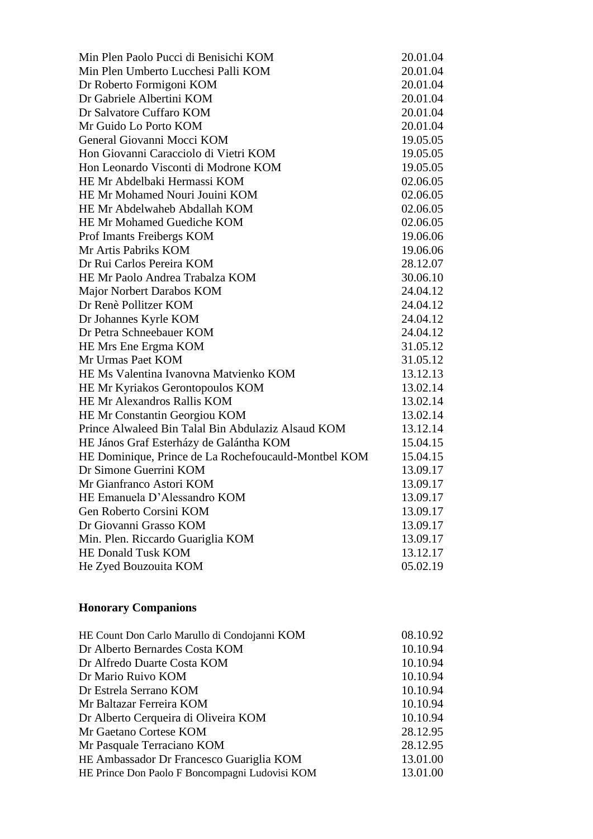| Min Plen Paolo Pucci di Benisichi KOM                | 20.01.04 |
|------------------------------------------------------|----------|
| Min Plen Umberto Lucchesi Palli KOM                  | 20.01.04 |
| Dr Roberto Formigoni KOM                             | 20.01.04 |
| Dr Gabriele Albertini KOM                            | 20.01.04 |
| Dr Salvatore Cuffaro KOM                             | 20.01.04 |
| Mr Guido Lo Porto KOM                                | 20.01.04 |
| General Giovanni Mocci KOM                           | 19.05.05 |
| Hon Giovanni Caracciolo di Vietri KOM                | 19.05.05 |
| Hon Leonardo Visconti di Modrone KOM                 | 19.05.05 |
| HE Mr Abdelbaki Hermassi KOM                         | 02.06.05 |
| HE Mr Mohamed Nouri Jouini KOM                       | 02.06.05 |
| HE Mr Abdelwaheb Abdallah KOM                        | 02.06.05 |
| HE Mr Mohamed Guediche KOM                           | 02.06.05 |
| Prof Imants Freibergs KOM                            | 19.06.06 |
| Mr Artis Pabriks KOM                                 | 19.06.06 |
| Dr Rui Carlos Pereira KOM                            | 28.12.07 |
| HE Mr Paolo Andrea Trabalza KOM                      | 30.06.10 |
| Major Norbert Darabos KOM                            | 24.04.12 |
| Dr Renè Pollitzer KOM                                | 24.04.12 |
| Dr Johannes Kyrle KOM                                | 24.04.12 |
| Dr Petra Schneebauer KOM                             | 24.04.12 |
| HE Mrs Ene Ergma KOM                                 | 31.05.12 |
| Mr Urmas Paet KOM                                    | 31.05.12 |
| HE Ms Valentina Ivanovna Matvienko KOM               | 13.12.13 |
| HE Mr Kyriakos Gerontopoulos KOM                     | 13.02.14 |
| HE Mr Alexandros Rallis KOM                          | 13.02.14 |
| HE Mr Constantin Georgiou KOM                        | 13.02.14 |
| Prince Alwaleed Bin Talal Bin Abdulaziz Alsaud KOM   | 13.12.14 |
| HE János Graf Esterházy de Galántha KOM              | 15.04.15 |
| HE Dominique, Prince de La Rochefoucauld-Montbel KOM | 15.04.15 |
| Dr Simone Guerrini KOM                               | 13.09.17 |
| Mr Gianfranco Astori KOM                             | 13.09.17 |
| HE Emanuela D'Alessandro KOM                         | 13.09.17 |
| Gen Roberto Corsini KOM                              | 13.09.17 |
| Dr Giovanni Grasso KOM                               | 13.09.17 |
| Min. Plen. Riccardo Guariglia KOM                    | 13.09.17 |
| <b>HE Donald Tusk KOM</b>                            | 13.12.17 |
| He Zyed Bouzouita KOM                                | 05.02.19 |

# **Honorary Companions**

| HE Count Don Carlo Marullo di Condojanni KOM   | 08.10.92 |
|------------------------------------------------|----------|
| Dr Alberto Bernardes Costa KOM                 | 10.10.94 |
| Dr Alfredo Duarte Costa KOM                    | 10.10.94 |
| Dr Mario Ruivo KOM                             | 10.10.94 |
| Dr Estrela Serrano KOM                         | 10.10.94 |
| Mr Baltazar Ferreira KOM                       | 10.10.94 |
| Dr Alberto Cerqueira di Oliveira KOM           | 10.10.94 |
| Mr Gaetano Cortese KOM                         | 28.12.95 |
| Mr Pasquale Terraciano KOM                     | 28.12.95 |
| HE Ambassador Dr Francesco Guariglia KOM       | 13.01.00 |
| HE Prince Don Paolo F Boncompagni Ludovisi KOM | 13.01.00 |
|                                                |          |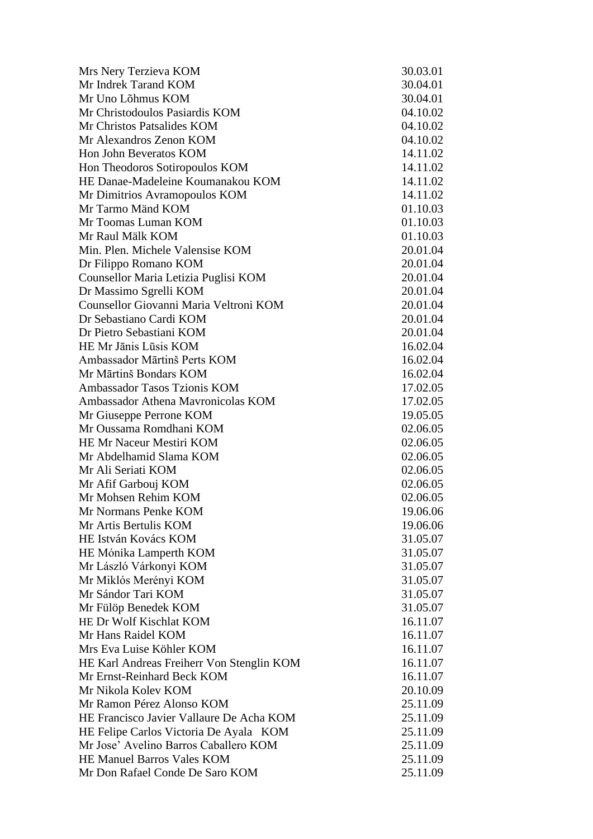| Mrs Nery Terzieva KOM                     | 30.03.01 |
|-------------------------------------------|----------|
| Mr Indrek Tarand KOM                      | 30.04.01 |
| Mr Uno Lõhmus KOM                         | 30.04.01 |
| Mr Christodoulos Pasiardis KOM            | 04.10.02 |
| Mr Christos Patsalides KOM                | 04.10.02 |
| Mr Alexandros Zenon KOM                   | 04.10.02 |
| Hon John Beveratos KOM                    | 14.11.02 |
| Hon Theodoros Sotiropoulos KOM            | 14.11.02 |
| HE Danae-Madeleine Koumanakou KOM         | 14.11.02 |
| Mr Dimitrios Avramopoulos KOM             | 14.11.02 |
| Mr Tarmo Mänd KOM                         | 01.10.03 |
| Mr Toomas Luman KOM                       | 01.10.03 |
| Mr Raul Mälk KOM                          | 01.10.03 |
| Min. Plen. Michele Valensise KOM          | 20.01.04 |
| Dr Filippo Romano KOM                     | 20.01.04 |
| Counsellor Maria Letizia Puglisi KOM      | 20.01.04 |
| Dr Massimo Sgrelli KOM                    | 20.01.04 |
| Counsellor Giovanni Maria Veltroni KOM    | 20.01.04 |
| Dr Sebastiano Cardi KOM                   | 20.01.04 |
| Dr Pietro Sebastiani KOM                  | 20.01.04 |
| HE Mr Jānis Lūsis KOM                     | 16.02.04 |
| Ambassador Mārtinš Perts KOM              | 16.02.04 |
| Mr Mārtinš Bondars KOM                    | 16.02.04 |
| Ambassador Tasos Tzionis KOM              | 17.02.05 |
| Ambassador Athena Mavronicolas KOM        | 17.02.05 |
| Mr Giuseppe Perrone KOM                   | 19.05.05 |
| Mr Oussama Romdhani KOM                   | 02.06.05 |
| HE Mr Naceur Mestiri KOM                  | 02.06.05 |
| Mr Abdelhamid Slama KOM                   | 02.06.05 |
| Mr Ali Seriati KOM                        | 02.06.05 |
| Mr Afif Garbouj KOM                       | 02.06.05 |
| Mr Mohsen Rehim KOM                       | 02.06.05 |
| Mr Normans Penke KOM                      | 19.06.06 |
| Mr Artis Bertulis KOM                     | 19.06.06 |
| HE István Kovács KOM                      | 31.05.07 |
| HE Mónika Lamperth KOM                    | 31.05.07 |
| Mr László Várkonyi KOM                    | 31.05.07 |
| Mr Miklós Merényi KOM                     | 31.05.07 |
| Mr Sándor Tari KOM                        | 31.05.07 |
| Mr Fülöp Benedek KOM                      | 31.05.07 |
| HE Dr Wolf Kischlat KOM                   | 16.11.07 |
| Mr Hans Raidel KOM                        | 16.11.07 |
| Mrs Eva Luise Köhler KOM                  | 16.11.07 |
| HE Karl Andreas Freiherr Von Stenglin KOM | 16.11.07 |
| Mr Ernst-Reinhard Beck KOM                | 16.11.07 |
| Mr Nikola Kolev KOM                       | 20.10.09 |
| Mr Ramon Pérez Alonso KOM                 | 25.11.09 |
| HE Francisco Javier Vallaure De Acha KOM  | 25.11.09 |
| HE Felipe Carlos Victoria De Ayala KOM    | 25.11.09 |
| Mr Jose' Avelino Barros Caballero KOM     | 25.11.09 |
| <b>HE Manuel Barros Vales KOM</b>         | 25.11.09 |
| Mr Don Rafael Conde De Saro KOM           | 25.11.09 |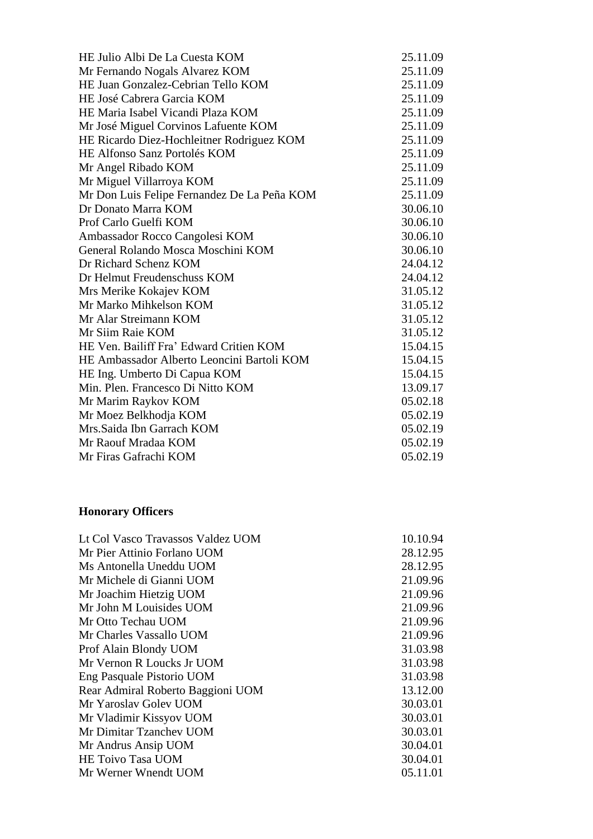| HE Julio Albi De La Cuesta KOM              | 25.11.09 |
|---------------------------------------------|----------|
| Mr Fernando Nogals Alvarez KOM              | 25.11.09 |
| HE Juan Gonzalez-Cebrian Tello KOM          | 25.11.09 |
| HE José Cabrera Garcia KOM                  | 25.11.09 |
| HE Maria Isabel Vicandi Plaza KOM           | 25.11.09 |
| Mr José Miguel Corvinos Lafuente KOM        | 25.11.09 |
| HE Ricardo Diez-Hochleitner Rodriguez KOM   | 25.11.09 |
| HE Alfonso Sanz Portolés KOM                | 25.11.09 |
| Mr Angel Ribado KOM                         | 25.11.09 |
| Mr Miguel Villarroya KOM                    | 25.11.09 |
| Mr Don Luis Felipe Fernandez De La Peña KOM | 25.11.09 |
| Dr Donato Marra KOM                         | 30.06.10 |
| Prof Carlo Guelfi KOM                       | 30.06.10 |
| Ambassador Rocco Cangolesi KOM              | 30.06.10 |
| General Rolando Mosca Moschini KOM          | 30.06.10 |
| Dr Richard Schenz KOM                       | 24.04.12 |
| Dr Helmut Freudenschuss KOM                 | 24.04.12 |
| Mrs Merike Kokajev KOM                      | 31.05.12 |
| Mr Marko Mihkelson KOM                      | 31.05.12 |
| Mr Alar Streimann KOM                       | 31.05.12 |
| Mr Siim Raie KOM                            | 31.05.12 |
| HE Ven. Bailiff Fra' Edward Critien KOM     | 15.04.15 |
| HE Ambassador Alberto Leoncini Bartoli KOM  | 15.04.15 |
| HE Ing. Umberto Di Capua KOM                | 15.04.15 |
| Min. Plen. Francesco Di Nitto KOM           | 13.09.17 |
| Mr Marim Raykov KOM                         | 05.02.18 |
| Mr Moez Belkhodja KOM                       | 05.02.19 |
| Mrs.Saida Ibn Garrach KOM                   | 05.02.19 |
| Mr Raouf Mradaa KOM                         | 05.02.19 |
| Mr Firas Gafrachi KOM                       | 05.02.19 |

# **Honorary Officers**

| Lt Col Vasco Travassos Valdez UOM | 10.10.94 |
|-----------------------------------|----------|
| Mr Pier Attinio Forlano UOM       | 28.12.95 |
| Ms Antonella Uneddu UOM           | 28.12.95 |
| Mr Michele di Gianni UOM          | 21.09.96 |
| Mr Joachim Hietzig UOM            | 21.09.96 |
| Mr John M Louisides UOM           | 21.09.96 |
| Mr Otto Techau UOM                | 21.09.96 |
| Mr Charles Vassallo UOM           | 21.09.96 |
| Prof Alain Blondy UOM             | 31.03.98 |
| Mr Vernon R Loucks Jr UOM         | 31.03.98 |
| Eng Pasquale Pistorio UOM         | 31.03.98 |
| Rear Admiral Roberto Baggioni UOM | 13.12.00 |
| Mr Yaroslav Goley UOM             | 30.03.01 |
| Mr Vladimir Kissyov UOM           | 30.03.01 |
| Mr Dimitar Tzanchev UOM           | 30.03.01 |
| Mr Andrus Ansip UOM               | 30.04.01 |
| HE Toivo Tasa UOM                 | 30.04.01 |
| Mr Werner Wnendt UOM              | 05.11.01 |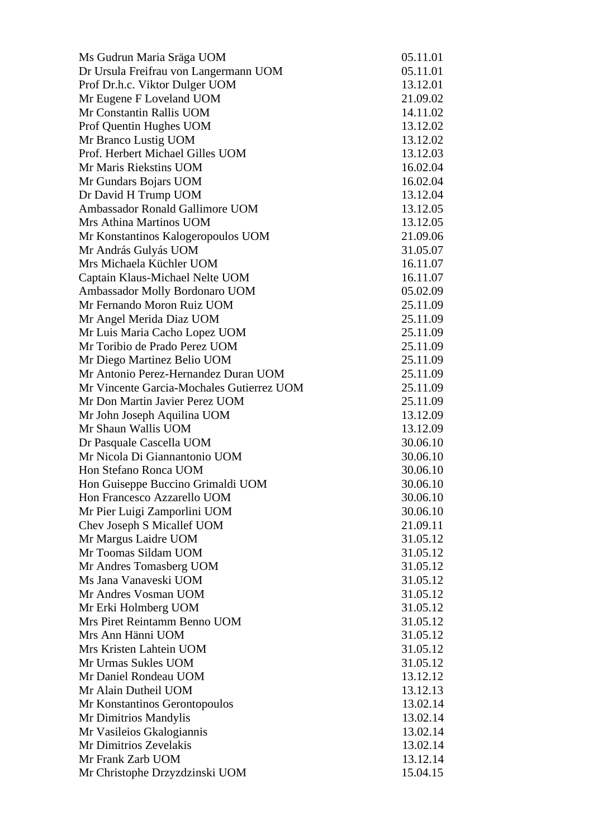| Ms Gudrun Maria Sräga UOM                 | 05.11.01 |
|-------------------------------------------|----------|
| Dr Ursula Freifrau von Langermann UOM     | 05.11.01 |
| Prof Dr.h.c. Viktor Dulger UOM            | 13.12.01 |
| Mr Eugene F Loveland UOM                  | 21.09.02 |
| Mr Constantin Rallis UOM                  | 14.11.02 |
| Prof Quentin Hughes UOM                   | 13.12.02 |
| Mr Branco Lustig UOM                      | 13.12.02 |
| Prof. Herbert Michael Gilles UOM          | 13.12.03 |
| Mr Maris Riekstins UOM                    | 16.02.04 |
| Mr Gundars Bojars UOM                     | 16.02.04 |
| Dr David H Trump UOM                      | 13.12.04 |
| Ambassador Ronald Gallimore UOM           | 13.12.05 |
| Mrs Athina Martinos UOM                   | 13.12.05 |
| Mr Konstantinos Kalogeropoulos UOM        | 21.09.06 |
| Mr András Gulyás UOM                      | 31.05.07 |
| Mrs Michaela Küchler UOM                  | 16.11.07 |
| Captain Klaus-Michael Nelte UOM           | 16.11.07 |
| Ambassador Molly Bordonaro UOM            | 05.02.09 |
| Mr Fernando Moron Ruiz UOM                | 25.11.09 |
| Mr Angel Merida Diaz UOM                  | 25.11.09 |
| Mr Luis Maria Cacho Lopez UOM             | 25.11.09 |
| Mr Toribio de Prado Perez UOM             | 25.11.09 |
| Mr Diego Martinez Belio UOM               | 25.11.09 |
| Mr Antonio Perez-Hernandez Duran UOM      | 25.11.09 |
| Mr Vincente Garcia-Mochales Gutierrez UOM | 25.11.09 |
| Mr Don Martin Javier Perez UOM            | 25.11.09 |
| Mr John Joseph Aquilina UOM               | 13.12.09 |
| Mr Shaun Wallis UOM                       | 13.12.09 |
| Dr Pasquale Cascella UOM                  | 30.06.10 |
| Mr Nicola Di Giannantonio UOM             | 30.06.10 |
| Hon Stefano Ronca UOM                     | 30.06.10 |
| Hon Guiseppe Buccino Grimaldi UOM         | 30.06.10 |
| Hon Francesco Azzarello UOM               | 30.06.10 |
| Mr Pier Luigi Zamporlini UOM              | 30.06.10 |
| Chev Joseph S Micallef UOM                | 21.09.11 |
| Mr Margus Laidre UOM                      | 31.05.12 |
| Mr Toomas Sildam UOM                      | 31.05.12 |
| Mr Andres Tomasberg UOM                   | 31.05.12 |
| Ms Jana Vanaveski UOM                     | 31.05.12 |
| Mr Andres Vosman UOM                      | 31.05.12 |
| Mr Erki Holmberg UOM                      | 31.05.12 |
| Mrs Piret Reintamm Benno UOM              | 31.05.12 |
| Mrs Ann Hänni UOM                         | 31.05.12 |
| Mrs Kristen Lahtein UOM                   | 31.05.12 |
| Mr Urmas Sukles UOM                       | 31.05.12 |
| Mr Daniel Rondeau UOM                     | 13.12.12 |
| Mr Alain Dutheil UOM                      | 13.12.13 |
| Mr Konstantinos Gerontopoulos             | 13.02.14 |
| Mr Dimitrios Mandylis                     | 13.02.14 |
| Mr Vasileios Gkalogiannis                 | 13.02.14 |
| Mr Dimitrios Zevelakis                    | 13.02.14 |
| Mr Frank Zarb UOM                         | 13.12.14 |
| Mr Christophe Drzyzdzinski UOM            | 15.04.15 |
|                                           |          |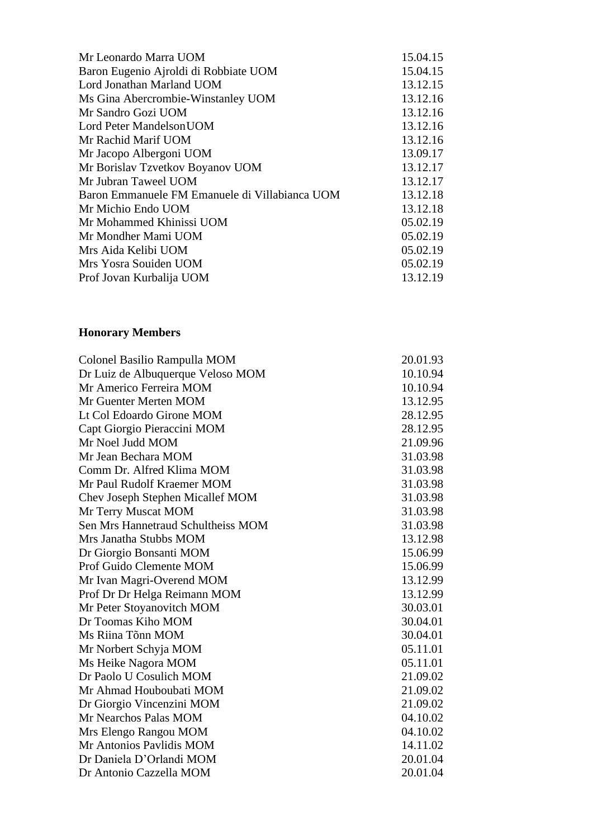| Mr Leonardo Marra UOM                          | 15.04.15 |
|------------------------------------------------|----------|
| Baron Eugenio Ajroldi di Robbiate UOM          | 15.04.15 |
| Lord Jonathan Marland UOM                      | 13.12.15 |
| Ms Gina Abercrombie-Winstanley UOM             | 13.12.16 |
| Mr Sandro Gozi UOM                             | 13.12.16 |
| Lord Peter Mandelson UOM                       | 13.12.16 |
| Mr Rachid Marif UOM                            | 13.12.16 |
| Mr Jacopo Albergoni UOM                        | 13.09.17 |
| Mr Borislav Tzvetkov Boyanov UOM               | 13.12.17 |
| Mr Jubran Taweel UOM                           | 13.12.17 |
| Baron Emmanuele FM Emanuele di Villabianca UOM | 13.12.18 |
| Mr Michio Endo UOM                             | 13.12.18 |
| Mr Mohammed Khinissi UOM                       | 05.02.19 |
| Mr Mondher Mami UOM                            | 05.02.19 |
| Mrs Aida Kelibi UOM                            | 05.02.19 |
| Mrs Yosra Souiden UOM                          | 05.02.19 |
| Prof Jovan Kurbalija UOM                       | 13.12.19 |
|                                                |          |

### **Honorary Members**

| Colonel Basilio Rampulla MOM       | 20.01.93 |
|------------------------------------|----------|
| Dr Luiz de Albuquerque Veloso MOM  | 10.10.94 |
| Mr Americo Ferreira MOM            | 10.10.94 |
| Mr Guenter Merten MOM              | 13.12.95 |
| Lt Col Edoardo Girone MOM          | 28.12.95 |
| Capt Giorgio Pieraccini MOM        | 28.12.95 |
| Mr Noel Judd MOM                   | 21.09.96 |
| Mr Jean Bechara MOM                | 31.03.98 |
| Comm Dr. Alfred Klima MOM          | 31.03.98 |
| Mr Paul Rudolf Kraemer MOM         | 31.03.98 |
| Chev Joseph Stephen Micallef MOM   | 31.03.98 |
| Mr Terry Muscat MOM                | 31.03.98 |
| Sen Mrs Hannetraud Schultheiss MOM | 31.03.98 |
| Mrs Janatha Stubbs MOM             | 13.12.98 |
| Dr Giorgio Bonsanti MOM            | 15.06.99 |
| Prof Guido Clemente MOM            | 15.06.99 |
| Mr Ivan Magri-Overend MOM          | 13.12.99 |
| Prof Dr Dr Helga Reimann MOM       | 13.12.99 |
| Mr Peter Stoyanovitch MOM          | 30.03.01 |
| Dr Toomas Kiho MOM                 | 30.04.01 |
| Ms Riina Tõnn MOM                  | 30.04.01 |
| Mr Norbert Schyja MOM              | 05.11.01 |
| Ms Heike Nagora MOM                | 05.11.01 |
| Dr Paolo U Cosulich MOM            | 21.09.02 |
| Mr Ahmad Houboubati MOM            | 21.09.02 |
| Dr Giorgio Vincenzini MOM          | 21.09.02 |
| Mr Nearchos Palas MOM              | 04.10.02 |
| Mrs Elengo Rangou MOM              | 04.10.02 |
| Mr Antonios Pavlidis MOM           | 14.11.02 |
| Dr Daniela D'Orlandi MOM           | 20.01.04 |
| Dr Antonio Cazzella MOM            | 20.01.04 |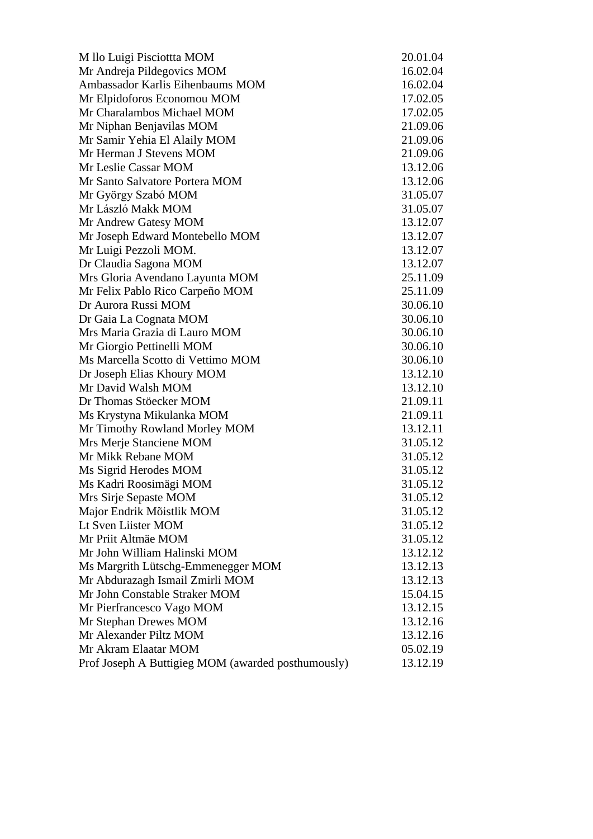| M llo Luigi Pisciottta MOM                         | 20.01.04 |
|----------------------------------------------------|----------|
| Mr Andreja Pildegovics MOM                         | 16.02.04 |
| Ambassador Karlis Eihenbaums MOM                   | 16.02.04 |
| Mr Elpidoforos Economou MOM                        | 17.02.05 |
| Mr Charalambos Michael MOM                         | 17.02.05 |
| Mr Niphan Benjavilas MOM                           | 21.09.06 |
| Mr Samir Yehia El Alaily MOM                       | 21.09.06 |
| Mr Herman J Stevens MOM                            | 21.09.06 |
| Mr Leslie Cassar MOM                               | 13.12.06 |
| Mr Santo Salvatore Portera MOM                     | 13.12.06 |
| Mr György Szabó MOM                                | 31.05.07 |
| Mr László Makk MOM                                 | 31.05.07 |
| Mr Andrew Gatesy MOM                               | 13.12.07 |
| Mr Joseph Edward Montebello MOM                    | 13.12.07 |
| Mr Luigi Pezzoli MOM.                              | 13.12.07 |
| Dr Claudia Sagona MOM                              | 13.12.07 |
| Mrs Gloria Avendano Layunta MOM                    | 25.11.09 |
| Mr Felix Pablo Rico Carpeño MOM                    | 25.11.09 |
| Dr Aurora Russi MOM                                | 30.06.10 |
| Dr Gaia La Cognata MOM                             | 30.06.10 |
| Mrs Maria Grazia di Lauro MOM                      | 30.06.10 |
| Mr Giorgio Pettinelli MOM                          | 30.06.10 |
| Ms Marcella Scotto di Vettimo MOM                  | 30.06.10 |
| Dr Joseph Elias Khoury MOM                         | 13.12.10 |
| Mr David Walsh MOM                                 | 13.12.10 |
| Dr Thomas Stöecker MOM                             | 21.09.11 |
| Ms Krystyna Mikulanka MOM                          | 21.09.11 |
| Mr Timothy Rowland Morley MOM                      | 13.12.11 |
| Mrs Merje Stanciene MOM                            | 31.05.12 |
| Mr Mikk Rebane MOM                                 | 31.05.12 |
| Ms Sigrid Herodes MOM                              | 31.05.12 |
| Ms Kadri Roosimägi MOM                             | 31.05.12 |
| Mrs Sirje Sepaste MOM                              | 31.05.12 |
| Major Endrik Mõistlik MOM                          | 31.05.12 |
| Lt Sven Liister MOM                                | 31.05.12 |
| Mr Priit Altmäe MOM                                | 31.05.12 |
| Mr John William Halinski MOM                       | 13.12.12 |
| Ms Margrith Lütschg-Emmenegger MOM                 | 13.12.13 |
| Mr Abdurazagh Ismail Zmirli MOM                    | 13.12.13 |
| Mr John Constable Straker MOM                      | 15.04.15 |
| Mr Pierfrancesco Vago MOM                          | 13.12.15 |
| Mr Stephan Drewes MOM                              | 13.12.16 |
| Mr Alexander Piltz MOM                             | 13.12.16 |
| Mr Akram Elaatar MOM                               | 05.02.19 |
| Prof Joseph A Buttigieg MOM (awarded posthumously) | 13.12.19 |